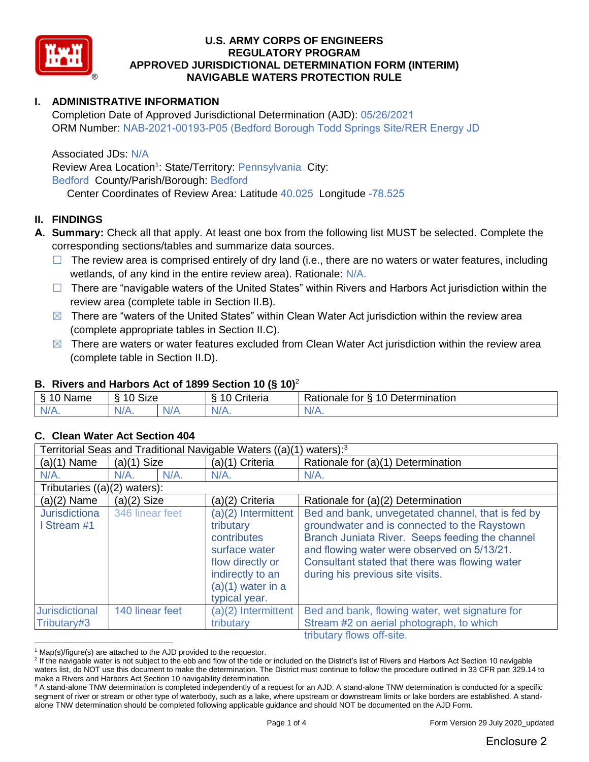

# **I. ADMINISTRATIVE INFORMATION**

Completion Date of Approved Jurisdictional Determination (AJD): 05/26/2021 ORM Number: NAB-2021-00193-P05 (Bedford Borough Todd Springs Site/RER Energy JD

Associated JDs: N/A

Review Area Location<sup>1</sup>: State/Territory: Pennsylvania City: Bedford County/Parish/Borough: Bedford Center Coordinates of Review Area: Latitude 40.025 Longitude -78.525

# **II. FINDINGS**

- **A. Summary:** Check all that apply. At least one box from the following list MUST be selected. Complete the corresponding sections/tables and summarize data sources.
	- $\Box$  The review area is comprised entirely of dry land (i.e., there are no waters or water features, including wetlands, of any kind in the entire review area). Rationale: N/A.
	- $\Box$  There are "navigable waters of the United States" within Rivers and Harbors Act jurisdiction within the review area (complete table in Section II.B).
	- $\boxtimes$  There are "waters of the United States" within Clean Water Act jurisdiction within the review area (complete appropriate tables in Section II.C).
	- $\boxtimes$  There are waters or water features excluded from Clean Water Act jurisdiction within the review area (complete table in Section II.D).

### **B. Rivers and Harbors Act of 1899 Section 10 (§ 10)**<sup>2</sup>

| Name         | $\ddot{\phantom{1}}$<br>$\sim$<br>SIZE |          | -<br>`rıteria<br>∼ | $\overline{\phantom{0}}$<br>-<br>$\sim$<br>Determination<br>tor<br>-<br>∛ationale |
|--------------|----------------------------------------|----------|--------------------|-----------------------------------------------------------------------------------|
| $\mathbf{v}$ | N/f                                    | NZ.<br>. | $'$ $'$            | <b>MII 10</b>                                                                     |

### **C. Clean Water Act Section 404**

| Territorial Seas and Traditional Navigable Waters ((a)(1)<br>waters $):$ <sup>3</sup> |                 |  |                                                                                                                                                  |                                                                                                                                                                                                                                                                                           |
|---------------------------------------------------------------------------------------|-----------------|--|--------------------------------------------------------------------------------------------------------------------------------------------------|-------------------------------------------------------------------------------------------------------------------------------------------------------------------------------------------------------------------------------------------------------------------------------------------|
| $(a)(1)$ Name                                                                         | $(a)(1)$ Size   |  | (a)(1) Criteria                                                                                                                                  | Rationale for (a)(1) Determination                                                                                                                                                                                                                                                        |
| $N/A$ .                                                                               | $N/A$ .<br>N/A. |  | $N/A$ .                                                                                                                                          | $N/A$ .                                                                                                                                                                                                                                                                                   |
| Tributaries $((a)(2)$ waters):                                                        |                 |  |                                                                                                                                                  |                                                                                                                                                                                                                                                                                           |
| (a)(2) Name                                                                           | $(a)(2)$ Size   |  | (a)(2) Criteria                                                                                                                                  | Rationale for (a)(2) Determination                                                                                                                                                                                                                                                        |
| <b>Jurisdictiona</b><br>Stream #1                                                     | 346 linear feet |  | (a)(2) Intermittent<br>tributary<br>contributes<br>surface water<br>flow directly or<br>indirectly to an<br>$(a)(1)$ water in a<br>typical year. | Bed and bank, unvegetated channel, that is fed by<br>groundwater and is connected to the Raystown<br>Branch Juniata River. Seeps feeding the channel<br>and flowing water were observed on 5/13/21.<br>Consultant stated that there was flowing water<br>during his previous site visits. |
| <b>Jurisdictional</b><br>Tributary#3                                                  | 140 linear feet |  | (a)(2) Intermittent<br>tributary                                                                                                                 | Bed and bank, flowing water, wet signature for<br>Stream #2 on aerial photograph, to which<br>tributory flowe off eito                                                                                                                                                                    |

tributary flows off-site.

<sup>&</sup>lt;sup>1</sup> Map(s)/figure(s) are attached to the AJD provided to the requestor.

<sup>&</sup>lt;sup>2</sup> If the navigable water is not subject to the ebb and flow of the tide or included on the District's list of Rivers and Harbors Act Section 10 navigable waters list, do NOT use this document to make the determination. The District must continue to follow the procedure outlined in 33 CFR part 329.14 to make a Rivers and Harbors Act Section 10 navigability determination.

<sup>&</sup>lt;sup>3</sup> A stand-alone TNW determination is completed independently of a request for an AJD. A stand-alone TNW determination is conducted for a specific segment of river or stream or other type of waterbody, such as a lake, where upstream or downstream limits or lake borders are established. A standalone TNW determination should be completed following applicable guidance and should NOT be documented on the AJD Form.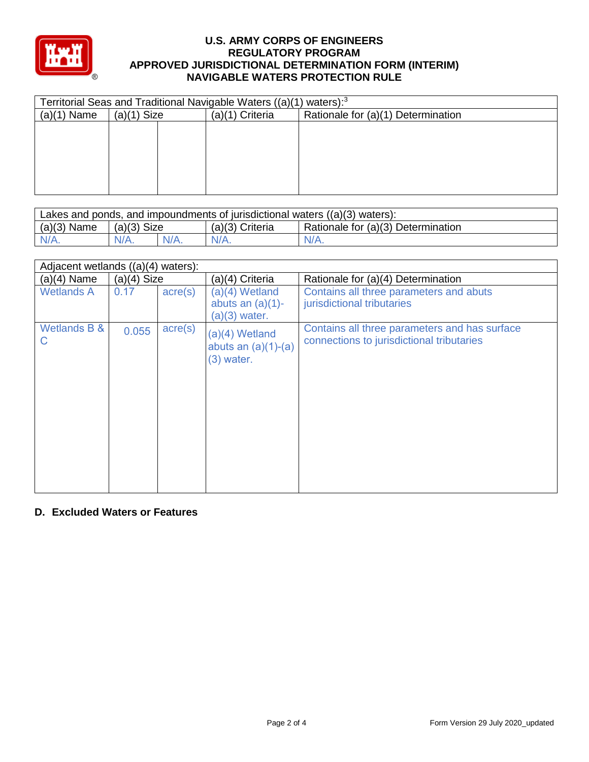

| Territorial Seas and Traditional Navigable Waters ((a)(1) waters): <sup>3</sup> |               |  |                   |                                    |
|---------------------------------------------------------------------------------|---------------|--|-------------------|------------------------------------|
| (a)(1)<br>Name                                                                  | $(a)(1)$ Size |  | $(a)(1)$ Criteria | Rationale for (a)(1) Determination |
|                                                                                 |               |  |                   |                                    |
|                                                                                 |               |  |                   |                                    |
|                                                                                 |               |  |                   |                                    |
|                                                                                 |               |  |                   |                                    |
|                                                                                 |               |  |                   |                                    |
|                                                                                 |               |  |                   |                                    |

| Lakes and ponds, and impoundments of jurisdictional waters $((a)(3)$ waters): |               |         |                 |                                    |  |
|-------------------------------------------------------------------------------|---------------|---------|-----------------|------------------------------------|--|
| $(a)(3)$ Name                                                                 | $(a)(3)$ Size |         | (a)(3) Criteria | Rationale for (a)(3) Determination |  |
| $N/A$ .                                                                       | $N/A$ .       | $N/A$ . | $N/A$ .         | $N/A$ .                            |  |

| Adjacent wetlands $((a)(4)$ waters): |               |                  |                                                            |                                                                                            |  |
|--------------------------------------|---------------|------------------|------------------------------------------------------------|--------------------------------------------------------------------------------------------|--|
| $(a)(4)$ Name                        | $(a)(4)$ Size |                  | (a)(4) Criteria                                            | Rationale for (a)(4) Determination                                                         |  |
| <b>Wetlands A</b>                    | 0.17          | $\text{acre}(s)$ | $(a)(4)$ Wetland<br>abuts an $(a)(1)$ -<br>$(a)(3)$ water. | Contains all three parameters and abuts<br>jurisdictional tributaries                      |  |
| Wetlands B &<br>С                    | 0.055         | $\text{acre}(s)$ | $(a)(4)$ Wetland<br>abuts an $(a)(1)-(a)$<br>$(3)$ water.  | Contains all three parameters and has surface<br>connections to jurisdictional tributaries |  |

### **D. Excluded Waters or Features**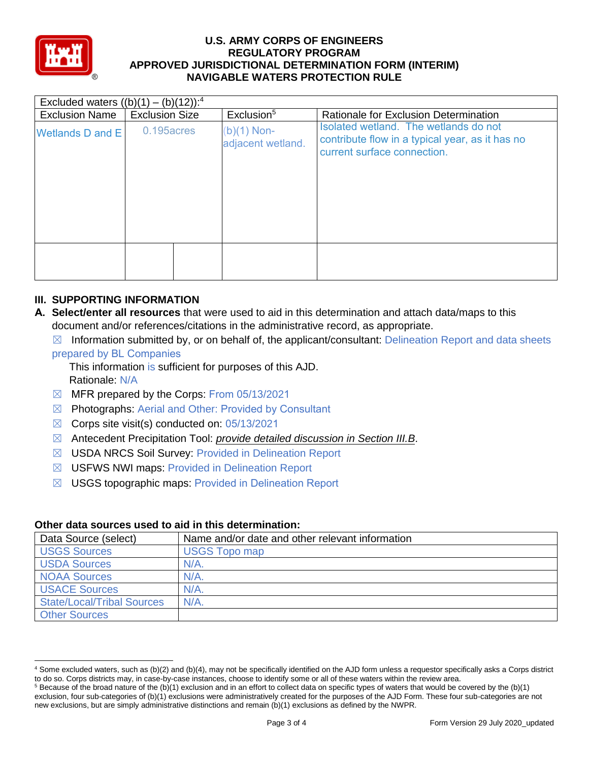

| Excluded waters $((b)(1) - (b)(12))$ : <sup>4</sup> |                       |  |                                    |                                                                                                                         |  |
|-----------------------------------------------------|-----------------------|--|------------------------------------|-------------------------------------------------------------------------------------------------------------------------|--|
| <b>Exclusion Name</b>                               | <b>Exclusion Size</b> |  | Exclusion <sup>5</sup>             | Rationale for Exclusion Determination                                                                                   |  |
| <b>Wetlands D and E</b>                             | 0.195 acres           |  | $(b)(1)$ Non-<br>adjacent wetland. | Isolated wetland. The wetlands do not<br>contribute flow in a typical year, as it has no<br>current surface connection. |  |
|                                                     |                       |  |                                    |                                                                                                                         |  |

# **III. SUPPORTING INFORMATION**

- **A. Select/enter all resources** that were used to aid in this determination and attach data/maps to this document and/or references/citations in the administrative record, as appropriate.
	- $\boxtimes$  Information submitted by, or on behalf of, the applicant/consultant: Delineation Report and data sheets

#### prepared by BL Companies

This information is sufficient for purposes of this AJD. Rationale: N/A

- ☒ MFR prepared by the Corps: From 05/13/2021
- ☒ Photographs: Aerial and Other: Provided by Consultant
- $\boxtimes$  Corps site visit(s) conducted on: 05/13/2021
- ☒ Antecedent Precipitation Tool: *provide detailed discussion in Section III.B*.
- ☒ USDA NRCS Soil Survey: Provided in Delineation Report
- ☒ USFWS NWI maps: Provided in Delineation Report
- ☒ USGS topographic maps: Provided in Delineation Report

#### **Other data sources used to aid in this determination:**

| Data Source (select)              | Name and/or date and other relevant information |
|-----------------------------------|-------------------------------------------------|
| <b>USGS Sources</b>               | <b>USGS Topo map</b>                            |
| <b>USDA Sources</b>               | $N/A$ .                                         |
| <b>NOAA Sources</b>               | $N/A$ .                                         |
| <b>USACE Sources</b>              | N/A                                             |
| <b>State/Local/Tribal Sources</b> | $N/A$ .                                         |
| <b>Other Sources</b>              |                                                 |

<sup>4</sup> Some excluded waters, such as (b)(2) and (b)(4), may not be specifically identified on the AJD form unless a requestor specifically asks a Corps district to do so. Corps districts may, in case-by-case instances, choose to identify some or all of these waters within the review area.

 $5$  Because of the broad nature of the (b)(1) exclusion and in an effort to collect data on specific types of waters that would be covered by the (b)(1) exclusion, four sub-categories of (b)(1) exclusions were administratively created for the purposes of the AJD Form. These four sub-categories are not new exclusions, but are simply administrative distinctions and remain (b)(1) exclusions as defined by the NWPR.